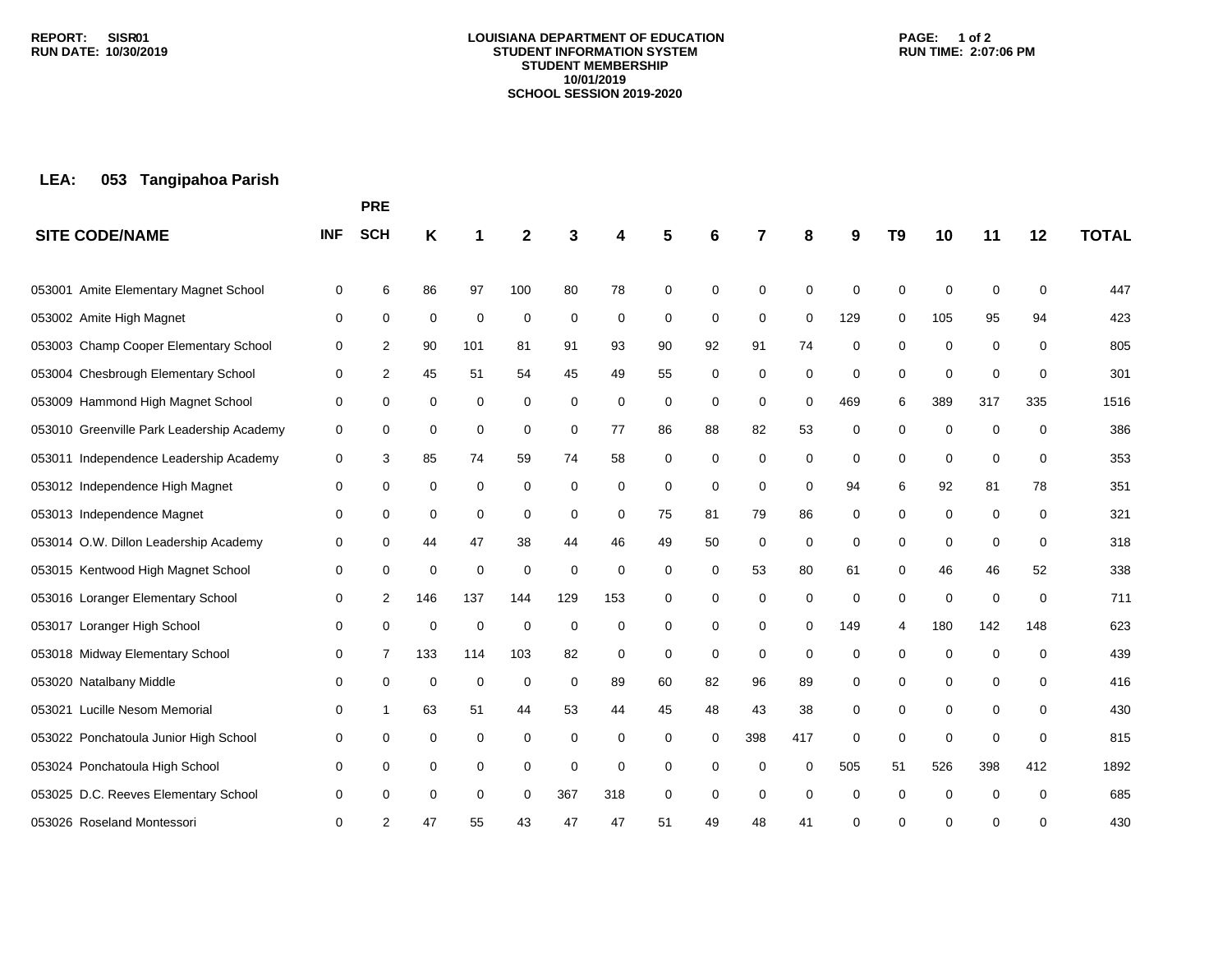#### **LOUISIANA DEPARTMENT OF EDUCATION STUDENT INFORMATION SYSTEM STUDENT MEMBERSHIP 10/01/2019 SCHOOL SESSION 2019-2020**

### **PAGE: 1 of 2 RUN TIME: 2:07:06 PM**

# **LEA: 053 Tangipahoa Parish**

|                                           |            | <b>PRE</b> |     |     |             |          |             |          |             |             |          |     |                |             |     |             |              |
|-------------------------------------------|------------|------------|-----|-----|-------------|----------|-------------|----------|-------------|-------------|----------|-----|----------------|-------------|-----|-------------|--------------|
| <b>SITE CODE/NAME</b>                     | <b>INF</b> | <b>SCH</b> | Κ   |     | 2           |          |             |          | 6           | 7           | 8        | 9   | T <sub>9</sub> | 10          | 11  | 12          | <b>TOTAL</b> |
| 053001 Amite Elementary Magnet School     | 0          | 6          | 86  | 97  | 100         | 80       | 78          | 0        | $\mathbf 0$ | 0           | 0        | 0   | $\Omega$       | 0           | 0   | 0           | 447          |
| 053002 Amite High Magnet                  | 0          | 0          | 0   | 0   | 0           | 0        | 0           | 0        | 0           | 0           | 0        | 129 | 0              | 105         | 95  | 94          | 423          |
| 053003 Champ Cooper Elementary School     | 0          | 2          | 90  | 101 | 81          | 91       | 93          | 90       | 92          | 91          | 74       | 0   | $\mathbf 0$    | 0           | 0   | $\mathbf 0$ | 805          |
| 053004 Chesbrough Elementary School       | 0          | 2          | 45  | 51  | 54          | 45       | 49          | 55       | $\mathbf 0$ | 0           | 0        | 0   | 0              | 0           | 0   | 0           | 301          |
| 053009 Hammond High Magnet School         | 0          | 0          | 0   | 0   | 0           | 0        | 0           | 0        | 0           | 0           | 0        | 469 | 6              | 389         | 317 | 335         | 1516         |
| 053010 Greenville Park Leadership Academy | 0          | 0          | 0   | 0   | 0           | 0        | 77          | 86       | 88          | 82          | 53       | 0   | $\mathbf 0$    | 0           | 0   | $\mathbf 0$ | 386          |
| 053011 Independence Leadership Academy    | 0          | 3          | 85  | 74  | 59          | 74       | 58          | 0        | $\mathbf 0$ | 0           | 0        | 0   | $\mathbf 0$    | 0           | 0   | $\mathbf 0$ | 353          |
| 053012 Independence High Magnet           | 0          | 0          | 0   | 0   | $\Omega$    | 0        | 0           | $\Omega$ | $\mathbf 0$ | $\Omega$    | $\Omega$ | 94  | 6              | 92          | 81  | 78          | 351          |
| 053013 Independence Magnet                | 0          | 0          | 0   | 0   | 0           | 0        | 0           | 75       | 81          | 79          | 86       | 0   | 0              | 0           | 0   | 0           | 321          |
| 053014 O.W. Dillon Leadership Academy     | 0          | 0          | 44  | 47  | 38          | 44       | 46          | 49       | 50          | $\mathbf 0$ | 0        | 0   | $\mathbf 0$    | 0           | 0   | $\mathbf 0$ | 318          |
| 053015 Kentwood High Magnet School        | 0          | 0          | 0   | 0   | $\mathbf 0$ | $\Omega$ | $\mathbf 0$ | $\Omega$ | 0           | 53          | 80       | 61  | 0              | 46          | 46  | 52          | 338          |
| 053016 Loranger Elementary School         | 0          | 2          | 146 | 137 | 144         | 129      | 153         | 0        | 0           | 0           | 0        | 0   | 0              | 0           | 0   | 0           | 711          |
| 053017 Loranger High School               | 0          | 0          | 0   | 0   | $\mathbf 0$ | 0        | 0           | 0        | 0           | 0           | 0        | 149 | 4              | 180         | 142 | 148         | 623          |
| 053018 Midway Elementary School           | 0          | 7          | 133 | 114 | 103         | 82       | 0           | 0        | 0           | $\mathbf 0$ | 0        | 0   | $\Omega$       | $\mathbf 0$ | 0   | 0           | 439          |
| 053020 Natalbany Middle                   | 0          | 0          | 0   | 0   | 0           | 0        | 89          | 60       | 82          | 96          | 89       | 0   | 0              | 0           | 0   | 0           | 416          |
| 053021 Lucille Nesom Memorial             | 0          | 1          | 63  | 51  | 44          | 53       | 44          | 45       | 48          | 43          | 38       | 0   | 0              | 0           | 0   | 0           | 430          |
| 053022 Ponchatoula Junior High School     | 0          | 0          | 0   | 0   | 0           | 0        | 0           | 0        | 0           | 398         | 417      | 0   | $\Omega$       | 0           | 0   | 0           | 815          |
| 053024 Ponchatoula High School            | 0          | 0          | 0   | 0   | 0           | 0        | 0           | 0        | 0           | 0           | $\Omega$ | 505 | 51             | 526         | 398 | 412         | 1892         |
| 053025 D.C. Reeves Elementary School      | 0          | 0          | 0   | 0   | 0           | 367      | 318         | 0        | $\mathbf 0$ | 0           | $\Omega$ | 0   | $\mathbf 0$    | 0           | 0   | $\Omega$    | 685          |
| 053026 Roseland Montessori                | $\Omega$   | 2          | 47  | 55  | 43          | 47       | 47          | 51       | 49          | 48          | 41       | 0   | U              | ∩           | 0   | $\Omega$    | 430          |